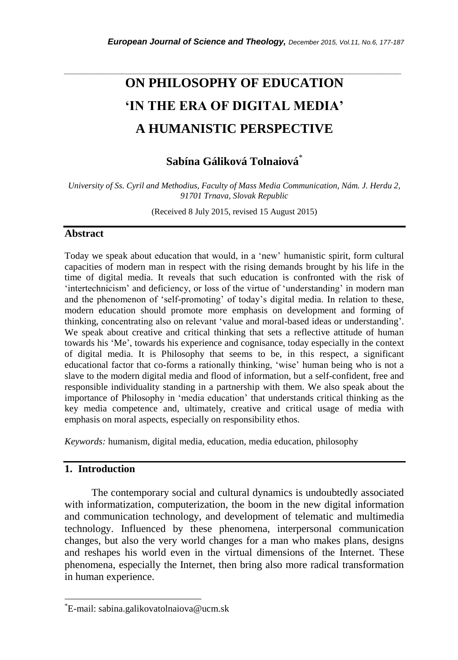# **ON PHILOSOPHY OF EDUCATION 'IN THE ERA OF DIGITAL MEDIA' A HUMANISTIC PERSPECTIVE**

*\_\_\_\_\_\_\_\_\_\_\_\_\_\_\_\_\_\_\_\_\_\_\_\_\_\_\_\_\_\_\_\_\_\_\_\_\_\_\_\_\_\_\_\_\_\_\_\_\_\_\_\_\_\_\_\_\_\_\_\_\_\_\_\_\_\_\_\_\_\_\_*

**Sabína Gáliková Tolnaiová**\*

*University of Ss. Cyril and Methodius, Faculty of Mass Media Communication, Nám. J. Herdu 2, 91701 Trnava, Slovak Republic*

(Received 8 July 2015, revised 15 August 2015)

### **Abstract**

Today we speak about education that would, in a "new" humanistic spirit, form cultural capacities of modern man in respect with the rising demands brought by his life in the time of digital media. It reveals that such education is confronted with the risk of "intertechnicism" and deficiency, or loss of the virtue of "understanding" in modern man and the phenomenon of 'self-promoting' of today's digital media. In relation to these, modern education should promote more emphasis on development and forming of thinking, concentrating also on relevant "value and moral-based ideas or understanding". We speak about creative and critical thinking that sets a reflective attitude of human towards his "Me", towards his experience and cognisance, today especially in the context of digital media. It is Philosophy that seems to be, in this respect, a significant educational factor that co-forms a rationally thinking, "wise" human being who is not a slave to the modern digital media and flood of information, but a self-confident, free and responsible individuality standing in a partnership with them. We also speak about the importance of Philosophy in "media education" that understands critical thinking as the key media competence and, ultimately, creative and critical usage of media with emphasis on moral aspects, especially on responsibility ethos.

*Keywords:* humanism, digital media, education, media education, philosophy

### **1. Introduction**

l

The contemporary social and cultural dynamics is undoubtedly associated with informatization, computerization, the boom in the new digital information and communication technology, and development of telematic and multimedia technology. Influenced by these phenomena, interpersonal communication changes, but also the very world changes for a man who makes plans, designs and reshapes his world even in the virtual dimensions of the Internet. These phenomena, especially the Internet, then bring also more radical transformation in human experience.

<sup>\*</sup>E-mail: sabina.galikovatolnaiova@ucm.sk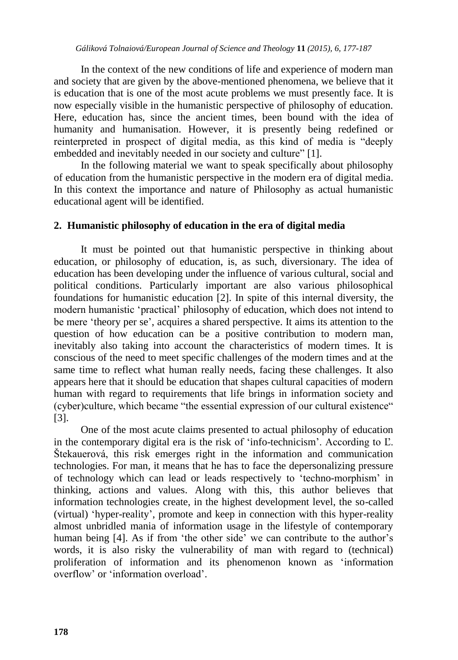In the context of the new conditions of life and experience of modern man and society that are given by the above-mentioned phenomena, we believe that it is education that is one of the most acute problems we must presently face. It is now especially visible in the humanistic perspective of philosophy of education. Here, education has, since the ancient times, been bound with the idea of humanity and humanisation. However, it is presently being redefined or reinterpreted in prospect of digital media, as this kind of media is "deeply embedded and inevitably needed in our society and culture" [1].

In the following material we want to speak specifically about philosophy of education from the humanistic perspective in the modern era of digital media. In this context the importance and nature of Philosophy as actual humanistic educational agent will be identified.

# **2. Humanistic philosophy of education in the era of digital media**

It must be pointed out that humanistic perspective in thinking about education, or philosophy of education, is, as such, diversionary. The idea of education has been developing under the influence of various cultural, social and political conditions. Particularly important are also various philosophical foundations for humanistic education [2]. In spite of this internal diversity, the modern humanistic "practical" philosophy of education, which does not intend to be mere "theory per se", acquires a shared perspective. It aims its attention to the question of how education can be a positive contribution to modern man, inevitably also taking into account the characteristics of modern times. It is conscious of the need to meet specific challenges of the modern times and at the same time to reflect what human really needs, facing these challenges. It also appears here that it should be education that shapes cultural capacities of modern human with regard to requirements that life brings in information society and (cyber)culture, which became "the essential expression of our cultural existence" [3].

One of the most acute claims presented to actual philosophy of education in the contemporary digital era is the risk of "info-technicism". According to Ľ. Štekauerová, this risk emerges right in the information and communication technologies. For man, it means that he has to face the depersonalizing pressure of technology which can lead or leads respectively to "techno-morphism" in thinking, actions and values. Along with this, this author believes that information technologies create, in the highest development level, the so-called (virtual) "hyper-reality", promote and keep in connection with this hyper-reality almost unbridled mania of information usage in the lifestyle of contemporary human being [4]. As if from 'the other side' we can contribute to the author's words, it is also risky the vulnerability of man with regard to (technical) proliferation of information and its phenomenon known as "information overflow" or "information overload".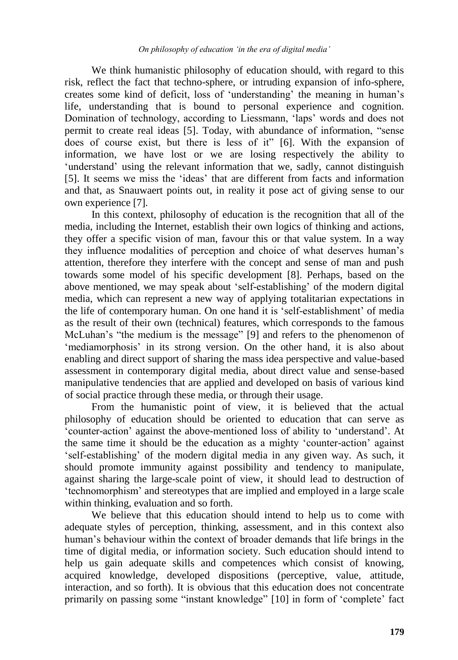We think humanistic philosophy of education should, with regard to this risk, reflect the fact that techno-sphere, or intruding expansion of info-sphere, creates some kind of deficit, loss of "understanding" the meaning in human"s life, understanding that is bound to personal experience and cognition. Domination of technology, according to Liessmann, "laps" words and does not permit to create real ideas [5]. Today, with abundance of information, "sense does of course exist, but there is less of it" [6]. With the expansion of information, we have lost or we are losing respectively the ability to 'understand' using the relevant information that we, sadly, cannot distinguish [5]. It seems we miss the "ideas" that are different from facts and information and that, as Snauwaert points out, in reality it pose act of giving sense to our own experience [7].

In this context, philosophy of education is the recognition that all of the media, including the Internet, establish their own logics of thinking and actions, they offer a specific vision of man, favour this or that value system. In a way they influence modalities of perception and choice of what deserves human"s attention, therefore they interfere with the concept and sense of man and push towards some model of his specific development [8]. Perhaps, based on the above mentioned, we may speak about "self-establishing" of the modern digital media, which can represent a new way of applying totalitarian expectations in the life of contemporary human. On one hand it is "self-establishment" of media as the result of their own (technical) features, which corresponds to the famous McLuhan's "the medium is the message" [9] and refers to the phenomenon of 'mediamorphosis' in its strong version. On the other hand, it is also about enabling and direct support of sharing the mass idea perspective and value-based assessment in contemporary digital media, about direct value and sense-based manipulative tendencies that are applied and developed on basis of various kind of social practice through these media, or through their usage.

From the humanistic point of view, it is believed that the actual philosophy of education should be oriented to education that can serve as "counter-action" against the above-mentioned loss of ability to "understand". At the same time it should be the education as a mighty "counter-action" against "self-establishing" of the modern digital media in any given way. As such, it should promote immunity against possibility and tendency to manipulate, against sharing the large-scale point of view, it should lead to destruction of "technomorphism" and stereotypes that are implied and employed in a large scale within thinking, evaluation and so forth.

We believe that this education should intend to help us to come with adequate styles of perception, thinking, assessment, and in this context also human"s behaviour within the context of broader demands that life brings in the time of digital media, or information society. Such education should intend to help us gain adequate skills and competences which consist of knowing, acquired knowledge, developed dispositions (perceptive, value, attitude, interaction, and so forth). It is obvious that this education does not concentrate primarily on passing some "instant knowledge" [10] in form of 'complete' fact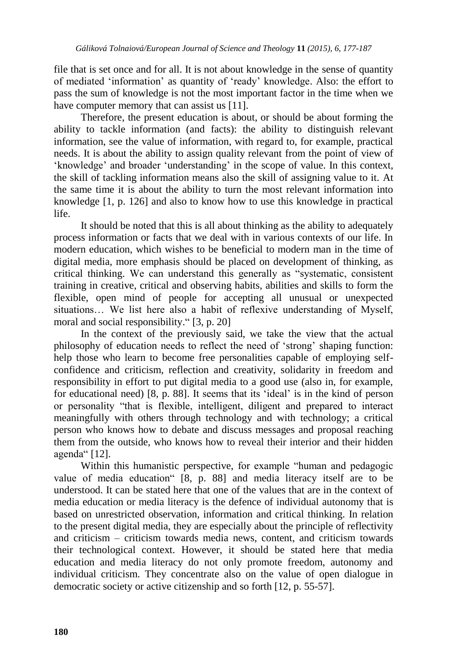file that is set once and for all. It is not about knowledge in the sense of quantity of mediated "information" as quantity of "ready" knowledge. Also: the effort to pass the sum of knowledge is not the most important factor in the time when we have computer memory that can assist us [11].

Therefore, the present education is about, or should be about forming the ability to tackle information (and facts): the ability to distinguish relevant information, see the value of information, with regard to, for example, practical needs. It is about the ability to assign quality relevant from the point of view of "knowledge" and broader "understanding" in the scope of value. In this context, the skill of tackling information means also the skill of assigning value to it. At the same time it is about the ability to turn the most relevant information into knowledge [1, p. 126] and also to know how to use this knowledge in practical life.

It should be noted that this is all about thinking as the ability to adequately process information or facts that we deal with in various contexts of our life. In modern education, which wishes to be beneficial to modern man in the time of digital media, more emphasis should be placed on development of thinking, as critical thinking. We can understand this generally as "systematic, consistent training in creative, critical and observing habits, abilities and skills to form the flexible, open mind of people for accepting all unusual or unexpected situations… We list here also a habit of reflexive understanding of Myself, moral and social responsibility." [3, p. 20]

In the context of the previously said, we take the view that the actual philosophy of education needs to reflect the need of "strong" shaping function: help those who learn to become free personalities capable of employing selfconfidence and criticism, reflection and creativity, solidarity in freedom and responsibility in effort to put digital media to a good use (also in, for example, for educational need) [8, p. 88]. It seems that its "ideal" is in the kind of person or personality "that is flexible, intelligent, diligent and prepared to interact meaningfully with others through technology and with technology; a critical person who knows how to debate and discuss messages and proposal reaching them from the outside, who knows how to reveal their interior and their hidden agenda" [12].

Within this humanistic perspective, for example "human and pedagogic value of media education" [8, p. 88] and media literacy itself are to be understood. It can be stated here that one of the values that are in the context of media education or media literacy is the defence of individual autonomy that is based on unrestricted observation, information and critical thinking. In relation to the present digital media, they are especially about the principle of reflectivity and criticism – criticism towards media news, content, and criticism towards their technological context. However, it should be stated here that media education and media literacy do not only promote freedom, autonomy and individual criticism. They concentrate also on the value of open dialogue in democratic society or active citizenship and so forth [12, p. 55-57].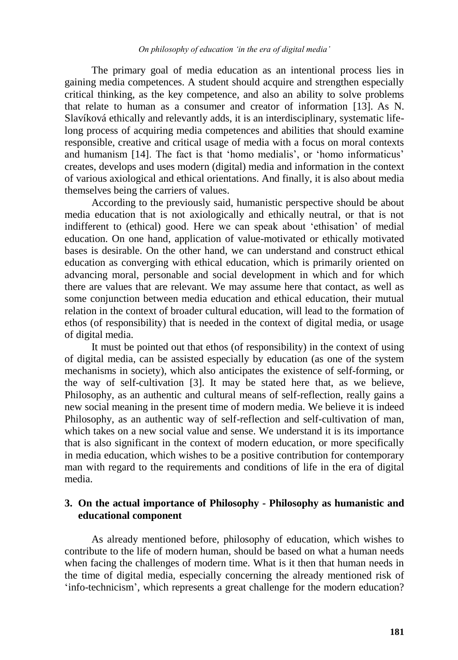The primary goal of media education as an intentional process lies in gaining media competences. A student should acquire and strengthen especially critical thinking, as the key competence, and also an ability to solve problems that relate to human as a consumer and creator of information [13]. As N. Slavíková ethically and relevantly adds, it is an interdisciplinary, systematic lifelong process of acquiring media competences and abilities that should examine responsible, creative and critical usage of media with a focus on moral contexts and humanism [14]. The fact is that 'homo medialis', or 'homo informaticus' creates, develops and uses modern (digital) media and information in the context of various axiological and ethical orientations. And finally, it is also about media themselves being the carriers of values.

According to the previously said, humanistic perspective should be about media education that is not axiologically and ethically neutral, or that is not indifferent to (ethical) good. Here we can speak about "ethisation" of medial education. On one hand, application of value-motivated or ethically motivated bases is desirable. On the other hand, we can understand and construct ethical education as converging with ethical education, which is primarily oriented on advancing moral, personable and social development in which and for which there are values that are relevant. We may assume here that contact, as well as some conjunction between media education and ethical education, their mutual relation in the context of broader cultural education, will lead to the formation of ethos (of responsibility) that is needed in the context of digital media, or usage of digital media.

It must be pointed out that ethos (of responsibility) in the context of using of digital media, can be assisted especially by education (as one of the system mechanisms in society), which also anticipates the existence of self-forming, or the way of self-cultivation [3]. It may be stated here that, as we believe, Philosophy, as an authentic and cultural means of self-reflection, really gains a new social meaning in the present time of modern media. We believe it is indeed Philosophy, as an authentic way of self-reflection and self-cultivation of man, which takes on a new social value and sense. We understand it is its importance that is also significant in the context of modern education, or more specifically in media education, which wishes to be a positive contribution for contemporary man with regard to the requirements and conditions of life in the era of digital media.

#### **3. On the actual importance of Philosophy - Philosophy as humanistic and educational component**

As already mentioned before, philosophy of education, which wishes to contribute to the life of modern human, should be based on what a human needs when facing the challenges of modern time. What is it then that human needs in the time of digital media, especially concerning the already mentioned risk of 'info-technicism', which represents a great challenge for the modern education?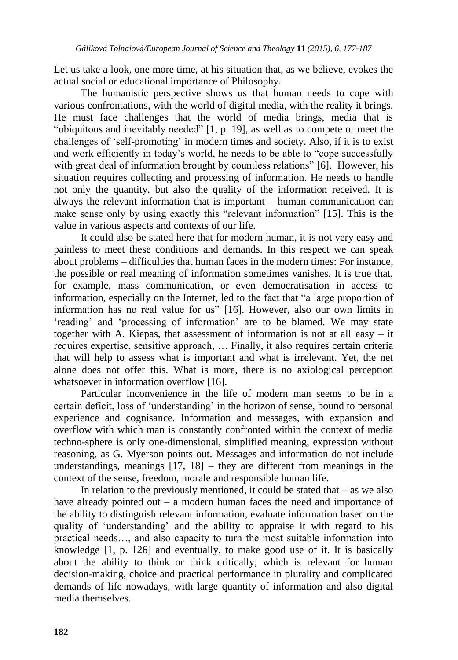Let us take a look, one more time, at his situation that, as we believe, evokes the actual social or educational importance of Philosophy.

The humanistic perspective shows us that human needs to cope with various confrontations, with the world of digital media, with the reality it brings. He must face challenges that the world of media brings, media that is "ubiquitous and inevitably needed" [1, p. 19], as well as to compete or meet the challenges of "self-promoting" in modern times and society. Also, if it is to exist and work efficiently in today"s world, he needs to be able to "cope successfully with great deal of information brought by countless relations" [6]. However, his situation requires collecting and processing of information. He needs to handle not only the quantity, but also the quality of the information received. It is always the relevant information that is important – human communication can make sense only by using exactly this "relevant information" [15]. This is the value in various aspects and contexts of our life.

It could also be stated here that for modern human, it is not very easy and painless to meet these conditions and demands. In this respect we can speak about problems – difficulties that human faces in the modern times: For instance, the possible or real meaning of information sometimes vanishes. It is true that, for example, mass communication, or even democratisation in access to information, especially on the Internet, led to the fact that "a large proportion of information has no real value for us" [16]. However, also our own limits in "reading" and "processing of information" are to be blamed. We may state together with A. Kiepas, that assessment of information is not at all easy – it requires expertise, sensitive approach, … Finally, it also requires certain criteria that will help to assess what is important and what is irrelevant. Yet, the net alone does not offer this. What is more, there is no axiological perception whatsoever in information overflow [16].

Particular inconvenience in the life of modern man seems to be in a certain deficit, loss of "understanding" in the horizon of sense, bound to personal experience and cognisance. Information and messages, with expansion and overflow with which man is constantly confronted within the context of media techno-sphere is only one-dimensional, simplified meaning, expression without reasoning, as G. Myerson points out. Messages and information do not include understandings, meanings  $[17, 18]$  – they are different from meanings in the context of the sense, freedom, morale and responsible human life.

In relation to the previously mentioned, it could be stated that  $-$  as we also have already pointed out – a modern human faces the need and importance of the ability to distinguish relevant information, evaluate information based on the quality of "understanding" and the ability to appraise it with regard to his practical needs…, and also capacity to turn the most suitable information into knowledge [1, p. 126] and eventually, to make good use of it. It is basically about the ability to think or think critically, which is relevant for human decision-making, choice and practical performance in plurality and complicated demands of life nowadays, with large quantity of information and also digital media themselves.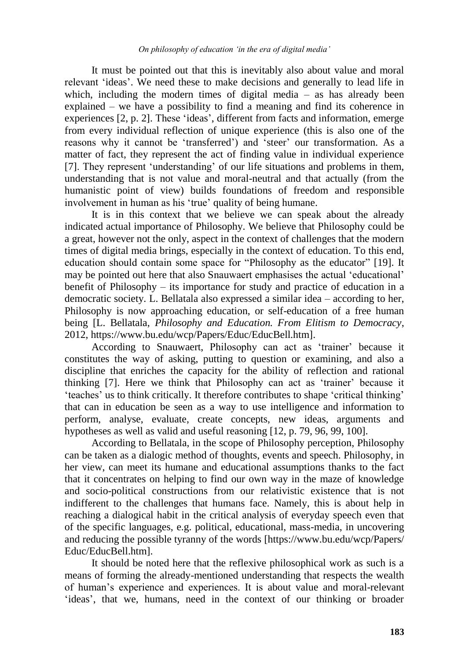It must be pointed out that this is inevitably also about value and moral relevant "ideas". We need these to make decisions and generally to lead life in which, including the modern times of digital media – as has already been explained – we have a possibility to find a meaning and find its coherence in experiences [2, p. 2]. These 'ideas', different from facts and information, emerge from every individual reflection of unique experience (this is also one of the reasons why it cannot be 'transferred') and 'steer' our transformation. As a matter of fact, they represent the act of finding value in individual experience [7]. They represent "understanding" of our life situations and problems in them, understanding that is not value and moral-neutral and that actually (from the humanistic point of view) builds foundations of freedom and responsible involvement in human as his 'true' quality of being humane.

It is in this context that we believe we can speak about the already indicated actual importance of Philosophy. We believe that Philosophy could be a great, however not the only, aspect in the context of challenges that the modern times of digital media brings, especially in the context of education. To this end, education should contain some space for "Philosophy as the educator" [19]. It may be pointed out here that also Snauwaert emphasises the actual "educational" benefit of Philosophy – its importance for study and practice of education in a democratic society. L. Bellatala also expressed a similar idea – according to her, Philosophy is now approaching education, or self-education of a free human being [L. Bellatala, *Philosophy and Education. From Elitism to Democracy*, 2012, https://www.bu.edu/wcp/Papers/Educ/EducBell.htm].

According to Snauwaert, Philosophy can act as "trainer" because it constitutes the way of asking, putting to question or examining, and also a discipline that enriches the capacity for the ability of reflection and rational thinking [7]. Here we think that Philosophy can act as "trainer" because it "teaches" us to think critically. It therefore contributes to shape "critical thinking" that can in education be seen as a way to use intelligence and information to perform, analyse, evaluate, create concepts, new ideas, arguments and hypotheses as well as valid and useful reasoning [12, p. 79, 96, 99, 100].

According to Bellatala, in the scope of Philosophy perception, Philosophy can be taken as a dialogic method of thoughts, events and speech. Philosophy, in her view, can meet its humane and educational assumptions thanks to the fact that it concentrates on helping to find our own way in the maze of knowledge and socio-political constructions from our relativistic existence that is not indifferent to the challenges that humans face. Namely, this is about help in reaching a dialogical habit in the critical analysis of everyday speech even that of the specific languages, e.g. political, educational, mass-media, in uncovering and reducing the possible tyranny of the words [https://www.bu.edu/wcp/Papers/ Educ/EducBell.htm].

It should be noted here that the reflexive philosophical work as such is a means of forming the already-mentioned understanding that respects the wealth of human"s experience and experiences. It is about value and moral-relevant 'ideas', that we, humans, need in the context of our thinking or broader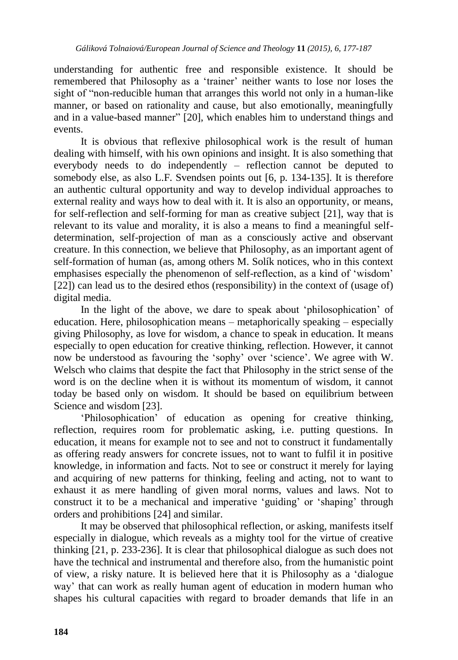understanding for authentic free and responsible existence. It should be remembered that Philosophy as a "trainer" neither wants to lose nor loses the sight of "non-reducible human that arranges this world not only in a human-like manner, or based on rationality and cause, but also emotionally, meaningfully and in a value-based manner" [20], which enables him to understand things and events.

It is obvious that reflexive philosophical work is the result of human dealing with himself, with his own opinions and insight. It is also something that everybody needs to do independently – reflection cannot be deputed to somebody else, as also L.F. Svendsen points out [6, p. 134-135]. It is therefore an authentic cultural opportunity and way to develop individual approaches to external reality and ways how to deal with it. It is also an opportunity, or means, for self-reflection and self-forming for man as creative subject [21], way that is relevant to its value and morality, it is also a means to find a meaningful selfdetermination, self-projection of man as a consciously active and observant creature. In this connection, we believe that Philosophy, as an important agent of self-formation of human (as, among others M. Solík notices, who in this context emphasises especially the phenomenon of self-reflection, as a kind of "wisdom" [22]) can lead us to the desired ethos (responsibility) in the context of (usage of) digital media.

In the light of the above, we dare to speak about "philosophication" of education. Here, philosophication means – metaphorically speaking – especially giving Philosophy, as love for wisdom, a chance to speak in education. It means especially to open education for creative thinking, reflection. However, it cannot now be understood as favouring the "sophy" over "science". We agree with W. Welsch who claims that despite the fact that Philosophy in the strict sense of the word is on the decline when it is without its momentum of wisdom, it cannot today be based only on wisdom. It should be based on equilibrium between Science and wisdom [23].

'Philosophication' of education as opening for creative thinking, reflection, requires room for problematic asking, i.e. putting questions. In education, it means for example not to see and not to construct it fundamentally as offering ready answers for concrete issues, not to want to fulfil it in positive knowledge, in information and facts. Not to see or construct it merely for laying and acquiring of new patterns for thinking, feeling and acting, not to want to exhaust it as mere handling of given moral norms, values and laws. Not to construct it to be a mechanical and imperative "guiding" or "shaping" through orders and prohibitions [24] and similar.

It may be observed that philosophical reflection, or asking, manifests itself especially in dialogue, which reveals as a mighty tool for the virtue of creative thinking [21, p. 233-236]. It is clear that philosophical dialogue as such does not have the technical and instrumental and therefore also, from the humanistic point of view, a risky nature. It is believed here that it is Philosophy as a "dialogue way" that can work as really human agent of education in modern human who shapes his cultural capacities with regard to broader demands that life in an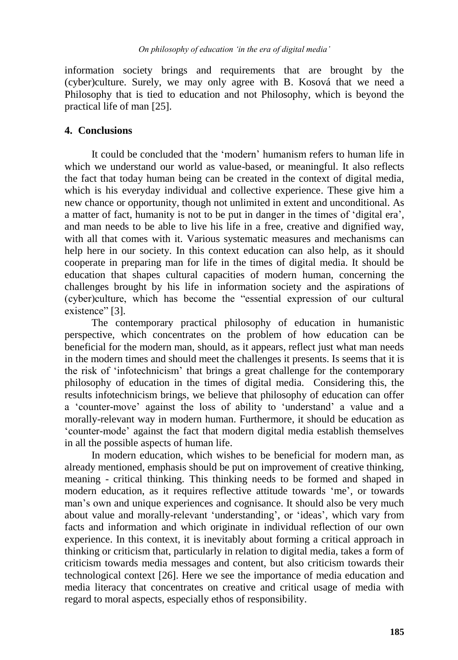information society brings and requirements that are brought by the (cyber)culture. Surely, we may only agree with B. Kosová that we need a Philosophy that is tied to education and not Philosophy, which is beyond the practical life of man [25].

## **4. Conclusions**

It could be concluded that the "modern" humanism refers to human life in which we understand our world as value-based, or meaningful. It also reflects the fact that today human being can be created in the context of digital media, which is his everyday individual and collective experience. These give him a new chance or opportunity, though not unlimited in extent and unconditional. As a matter of fact, humanity is not to be put in danger in the times of "digital era", and man needs to be able to live his life in a free, creative and dignified way, with all that comes with it. Various systematic measures and mechanisms can help here in our society. In this context education can also help, as it should cooperate in preparing man for life in the times of digital media. It should be education that shapes cultural capacities of modern human, concerning the challenges brought by his life in information society and the aspirations of (cyber)culture, which has become the "essential expression of our cultural existence" [3].

The contemporary practical philosophy of education in humanistic perspective, which concentrates on the problem of how education can be beneficial for the modern man, should, as it appears, reflect just what man needs in the modern times and should meet the challenges it presents. Is seems that it is the risk of "infotechnicism" that brings a great challenge for the contemporary philosophy of education in the times of digital media. Considering this, the results infotechnicism brings, we believe that philosophy of education can offer a "counter-move" against the loss of ability to "understand" a value and a morally-relevant way in modern human. Furthermore, it should be education as "counter-mode" against the fact that modern digital media establish themselves in all the possible aspects of human life.

In modern education, which wishes to be beneficial for modern man, as already mentioned, emphasis should be put on improvement of creative thinking, meaning - critical thinking. This thinking needs to be formed and shaped in modern education, as it requires reflective attitude towards "me", or towards man"s own and unique experiences and cognisance. It should also be very much about value and morally-relevant 'understanding', or 'ideas', which vary from facts and information and which originate in individual reflection of our own experience. In this context, it is inevitably about forming a critical approach in thinking or criticism that, particularly in relation to digital media, takes a form of criticism towards media messages and content, but also criticism towards their technological context [26]. Here we see the importance of media education and media literacy that concentrates on creative and critical usage of media with regard to moral aspects, especially ethos of responsibility.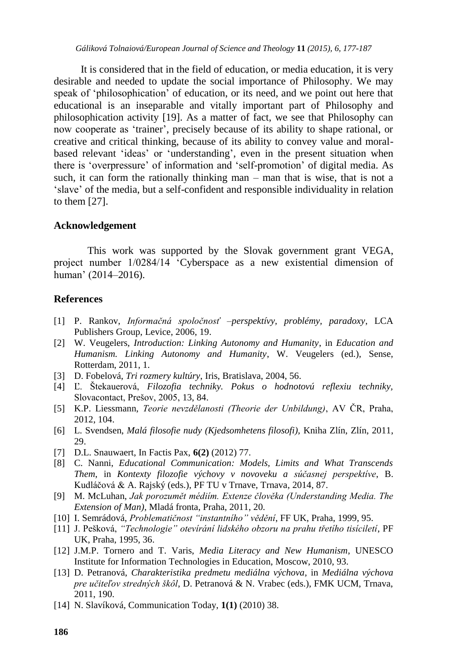It is considered that in the field of education, or media education, it is very desirable and needed to update the social importance of Philosophy. We may speak of "philosophication" of education, or its need, and we point out here that educational is an inseparable and vitally important part of Philosophy and philosophication activity [19]. As a matter of fact, we see that Philosophy can now cooperate as "trainer", precisely because of its ability to shape rational, or creative and critical thinking, because of its ability to convey value and moralbased relevant 'ideas' or 'understanding', even in the present situation when there is "overpressure" of information and "self-promotion" of digital media. As such, it can form the rationally thinking man – man that is wise, that is not a "slave" of the media, but a self-confident and responsible individuality in relation to them [27].

#### **Acknowledgement**

This work was supported by the Slovak government grant VEGA, project number 1/0284/14 "Cyberspace as a new existential dimension of human" (2014–2016).

#### **References**

- [1] P. Rankov, *Informačná spoločnosť –perspektívy, problémy, paradoxy*, LCA Publishers Group, Levice, 2006, 19.
- [2] W. Veugelers, *Introduction: Linking Autonomy and Humanity*, in *Education and Humanism. Linking Autonomy and Humanity*, W. Veugelers (ed.), Sense, Rotterdam, 2011, 1.
- [3] D. Fobelová, *Tri rozmery kultúry*, Iris, Bratislava, 2004, 56.
- [4] Ľ. Štekauerová, *Filozofia techniky. Pokus o hodnotovú reflexiu techniky,* Slovacontact, Prešov, 2005, 13, 84.
- [5] K.P. Liessmann, *Teorie nevzdělanosti (Theorie der Unbildung)*, AV ČR, Praha, 2012, 104.
- [6] L. Svendsen, *Malá filosofie nudy (Kjedsomhetens filosofi),* Kniha Zlín, Zlín, 2011, 29.
- [7] D.L. Snauwaert, In Factis Pax, **6(2)** (2012) 77.
- [8] C. Nanni, *Educational Communication: Models, Limits and What Transcends Them*, in *Kontexty filozofie výchovy v novoveku a súčasnej perspektíve*, B. Kudláčová & A. Rajský (eds.), PF TU v Trnave, Trnava, 2014, 87.
- [9] M. McLuhan, *Jak porozumět médiím. Extenze člověka (Understanding Media. The Extension of Man)*, Mladá fronta, Praha, 2011, 20.
- [10] I. Semrádová, *Problematičnost "instantního" vědění*, FF UK, Praha, 1999, 95.
- [11] J. Pešková, *"Technologie" otevírání lidského obzoru na prahu třetího tisíciletí*, PF UK, Praha, 1995, 36.
- [12] J.M.P. Tornero and T. Varis, *Media Literacy and New Humanism*, UNESCO Institute for Information Technologies in Education, Moscow, 2010, 93.
- [13] D. Petranová, *Charakteristika predmetu mediálna výchova*, in *Mediálna výchova pre učiteľov stredných škôl*, D. Petranová & N. Vrabec (eds.), FMK UCM, Trnava, 2011, 190.
- [14] N. Slavíková, Communication Today, **1(1)** (2010) 38.